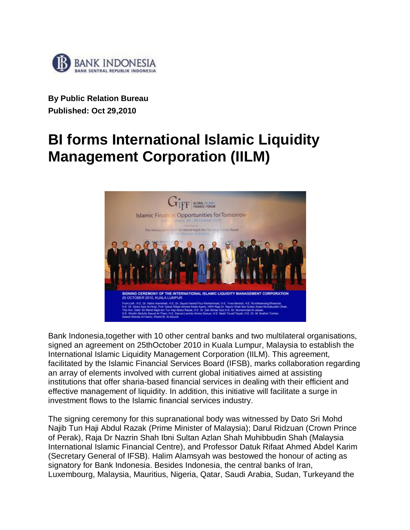

**By Public Relation Bureau Published: Oct 29,2010** 

## **BI forms International Islamic Liquidity Management Corporation (IILM)**



Bank Indonesia,together with 10 other central banks and two multilateral organisations, signed an agreement on 25thOctober 2010 in Kuala Lumpur, Malaysia to establish the International Islamic Liquidity Management Corporation (IILM). This agreement, facilitated by the Islamic Financial Services Board (IFSB), marks collaboration regarding an array of elements involved with current global initiatives aimed at assisting institutions that offer sharia-based financial services in dealing with their efficient and effective management of liquidity. In addition, this initiative will facilitate a surge in investment flows to the Islamic financial services industry.

The signing ceremony for this supranational body was witnessed by Dato Sri Mohd Najib Tun Haji Abdul Razak (Prime Minister of Malaysia); Darul Ridzuan (Crown Prince of Perak), Raja Dr Nazrin Shah Ibni Sultan Azlan Shah Muhibbudin Shah (Malaysia International Islamic Financial Centre), and Professor Datuk Rifaat Ahmed Abdel Karim (Secretary General of IFSB). Halim Alamsyah was bestowed the honour of acting as signatory for Bank Indonesia. Besides Indonesia, the central banks of Iran, Luxembourg, Malaysia, Mauritius, Nigeria, Qatar, Saudi Arabia, Sudan, Turkeyand the